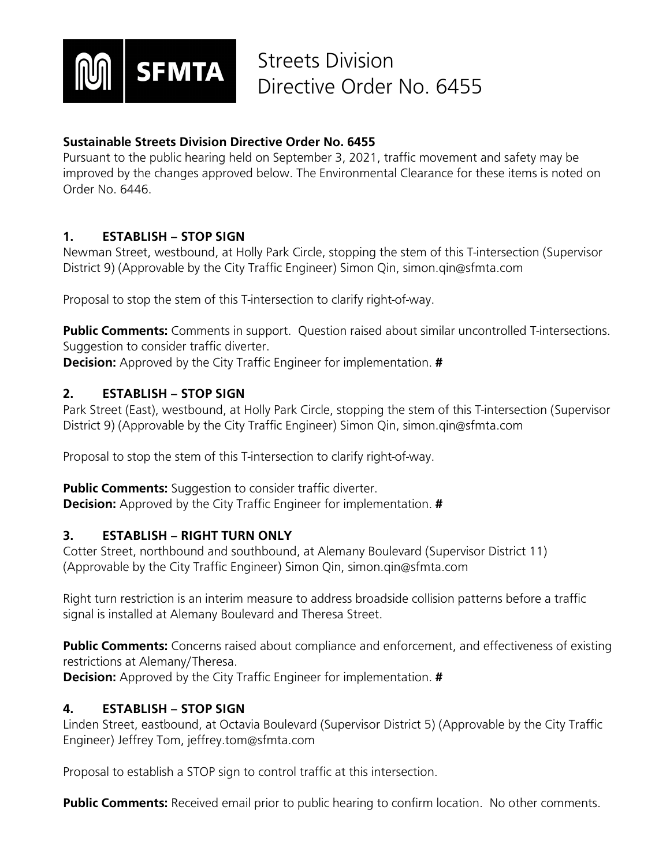

### **Sustainable Streets Division Directive Order No. 6455**

Pursuant to the public hearing held on September 3, 2021, traffic movement and safety may be improved by the changes approved below. The Environmental Clearance for these items is noted on Order No. 6446.

#### **1. ESTABLISH – STOP SIGN**

Newman Street, westbound, at Holly Park Circle, stopping the stem of this T-intersection (Supervisor District 9) (Approvable by the City Traffic Engineer) Simon Qin, simon.qin@sfmta.com

Proposal to stop the stem of this T-intersection to clarify right-of-way.

**Public Comments:** Comments in support. Question raised about similar uncontrolled T-intersections. Suggestion to consider traffic diverter.

**Decision:** Approved by the City Traffic Engineer for implementation. **#**

### **2. ESTABLISH – STOP SIGN**

Park Street (East), westbound, at Holly Park Circle, stopping the stem of this T-intersection (Supervisor District 9) (Approvable by the City Traffic Engineer) Simon Qin, simon.qin@sfmta.com

Proposal to stop the stem of this T-intersection to clarify right-of-way.

**Public Comments:** Suggestion to consider traffic diverter. **Decision:** Approved by the City Traffic Engineer for implementation. **#**

### **3. ESTABLISH – RIGHT TURN ONLY**

Cotter Street, northbound and southbound, at Alemany Boulevard (Supervisor District 11) (Approvable by the City Traffic Engineer) Simon Qin, simon.qin@sfmta.com

Right turn restriction is an interim measure to address broadside collision patterns before a traffic signal is installed at Alemany Boulevard and Theresa Street.

**Public Comments:** Concerns raised about compliance and enforcement, and effectiveness of existing restrictions at Alemany/Theresa. **Decision:** Approved by the City Traffic Engineer for implementation. **#**

#### **4. ESTABLISH – STOP SIGN**

Linden Street, eastbound, at Octavia Boulevard (Supervisor District 5) (Approvable by the City Traffic Engineer) Jeffrey Tom, jeffrey.tom@sfmta.com

Proposal to establish a STOP sign to control traffic at this intersection.

**Public Comments:** Received email prior to public hearing to confirm location. No other comments.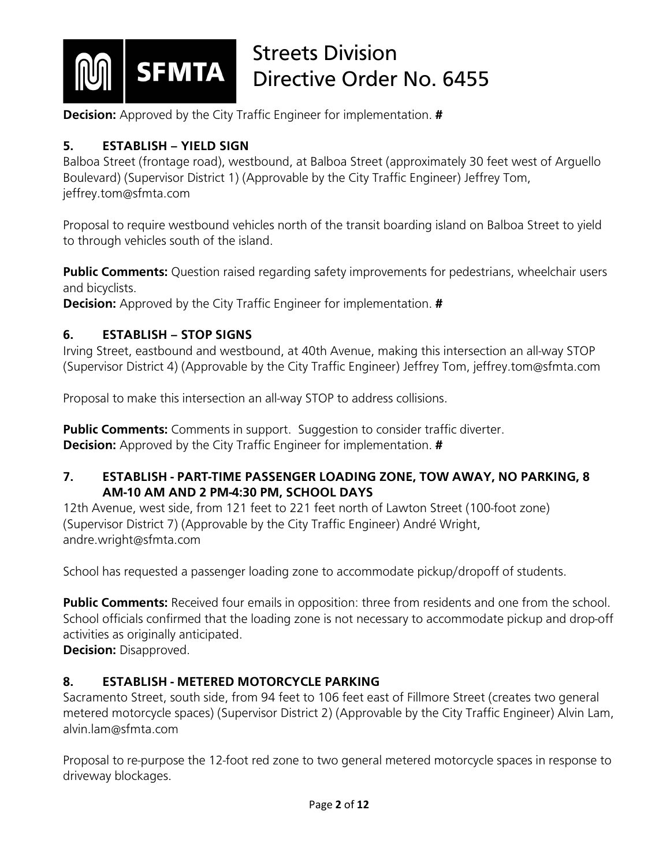

**Decision:** Approved by the City Traffic Engineer for implementation. **#**

### **5. ESTABLISH – YIELD SIGN**

Balboa Street (frontage road), westbound, at Balboa Street (approximately 30 feet west of Arguello Boulevard) (Supervisor District 1) (Approvable by the City Traffic Engineer) Jeffrey Tom, jeffrey.tom@sfmta.com

Proposal to require westbound vehicles north of the transit boarding island on Balboa Street to yield to through vehicles south of the island.

**Public Comments:** Question raised regarding safety improvements for pedestrians, wheelchair users and bicyclists.

**Decision:** Approved by the City Traffic Engineer for implementation. **#**

### **6. ESTABLISH – STOP SIGNS**

Irving Street, eastbound and westbound, at 40th Avenue, making this intersection an all-way STOP (Supervisor District 4) (Approvable by the City Traffic Engineer) Jeffrey Tom, jeffrey.tom@sfmta.com

Proposal to make this intersection an all-way STOP to address collisions.

**Public Comments:** Comments in support. Suggestion to consider traffic diverter. **Decision:** Approved by the City Traffic Engineer for implementation. **#**

#### **7. ESTABLISH - PART-TIME PASSENGER LOADING ZONE, TOW AWAY, NO PARKING, 8 AM-10 AM AND 2 PM-4:30 PM, SCHOOL DAYS**

12th Avenue, west side, from 121 feet to 221 feet north of Lawton Street (100-foot zone) (Supervisor District 7) (Approvable by the City Traffic Engineer) André Wright, andre.wright@sfmta.com

School has requested a passenger loading zone to accommodate pickup/dropoff of students.

**Public Comments:** Received four emails in opposition: three from residents and one from the school. School officials confirmed that the loading zone is not necessary to accommodate pickup and drop-off activities as originally anticipated.

**Decision:** Disapproved.

## **8. ESTABLISH - METERED MOTORCYCLE PARKING**

Sacramento Street, south side, from 94 feet to 106 feet east of Fillmore Street (creates two general metered motorcycle spaces) (Supervisor District 2) (Approvable by the City Traffic Engineer) Alvin Lam, alvin.lam@sfmta.com

Proposal to re-purpose the 12-foot red zone to two general metered motorcycle spaces in response to driveway blockages.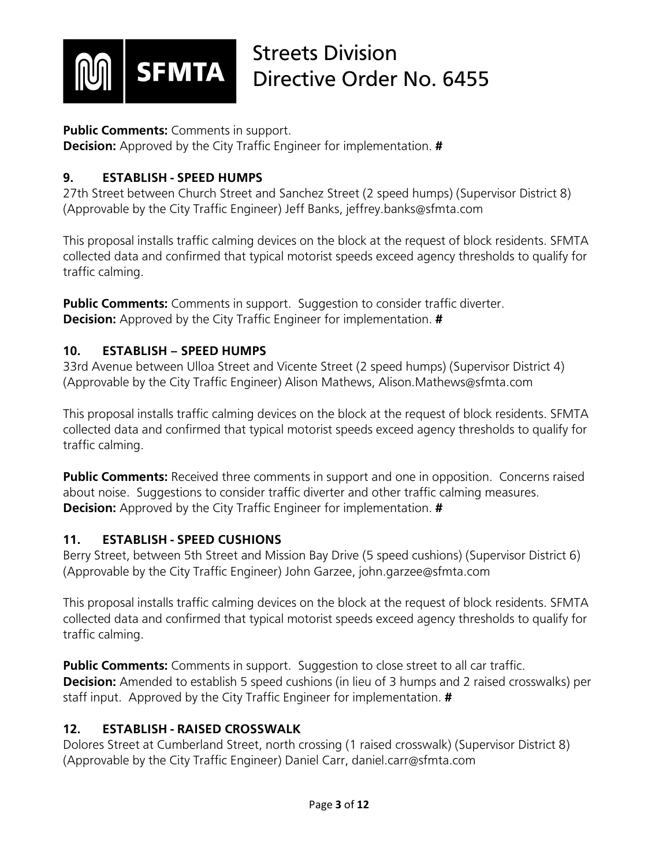

#### **Public Comments:** Comments in support.

**Decision:** Approved by the City Traffic Engineer for implementation. **#**

### **9. ESTABLISH - SPEED HUMPS**

27th Street between Church Street and Sanchez Street (2 speed humps) (Supervisor District 8) (Approvable by the City Traffic Engineer) Jeff Banks, jeffrey.banks@sfmta.com

This proposal installs traffic calming devices on the block at the request of block residents. SFMTA collected data and confirmed that typical motorist speeds exceed agency thresholds to qualify for traffic calming.

**Public Comments:** Comments in support. Suggestion to consider traffic diverter. **Decision:** Approved by the City Traffic Engineer for implementation. **#**

#### **10. ESTABLISH – SPEED HUMPS**

33rd Avenue between Ulloa Street and Vicente Street (2 speed humps) (Supervisor District 4) (Approvable by the City Traffic Engineer) Alison Mathews, Alison.Mathews@sfmta.com

This proposal installs traffic calming devices on the block at the request of block residents. SFMTA collected data and confirmed that typical motorist speeds exceed agency thresholds to qualify for traffic calming.

**Public Comments:** Received three comments in support and one in opposition. Concerns raised about noise. Suggestions to consider traffic diverter and other traffic calming measures. **Decision:** Approved by the City Traffic Engineer for implementation. **#**

### **11. ESTABLISH - SPEED CUSHIONS**

Berry Street, between 5th Street and Mission Bay Drive (5 speed cushions) (Supervisor District 6) (Approvable by the City Traffic Engineer) John Garzee, john.garzee@sfmta.com

This proposal installs traffic calming devices on the block at the request of block residents. SFMTA collected data and confirmed that typical motorist speeds exceed agency thresholds to qualify for traffic calming.

**Public Comments:** Comments in support. Suggestion to close street to all car traffic. **Decision:** Amended to establish 5 speed cushions (in lieu of 3 humps and 2 raised crosswalks) per staff input. Approved by the City Traffic Engineer for implementation. **#**

### **12. ESTABLISH - RAISED CROSSWALK**

Dolores Street at Cumberland Street, north crossing (1 raised crosswalk) (Supervisor District 8) (Approvable by the City Traffic Engineer) Daniel Carr, daniel.carr@sfmta.com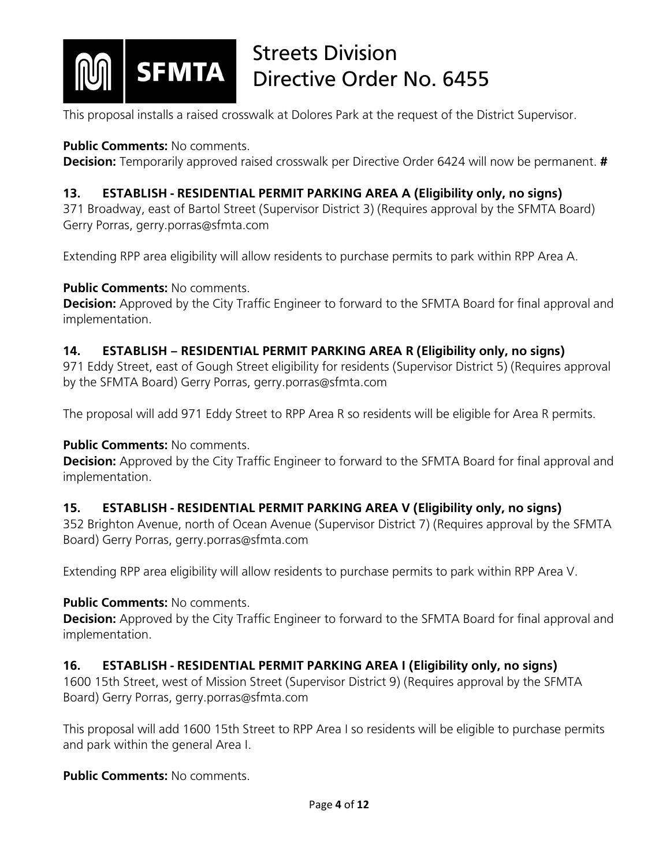

This proposal installs a raised crosswalk at Dolores Park at the request of the District Supervisor.

#### **Public Comments:** No comments.

**Decision:** Temporarily approved raised crosswalk per Directive Order 6424 will now be permanent. **#**

### **13. ESTABLISH - RESIDENTIAL PERMIT PARKING AREA A (Eligibility only, no signs)**

371 Broadway, east of Bartol Street (Supervisor District 3) (Requires approval by the SFMTA Board) Gerry Porras, gerry.porras@sfmta.com

Extending RPP area eligibility will allow residents to purchase permits to park within RPP Area A.

#### **Public Comments:** No comments.

**Decision:** Approved by the City Traffic Engineer to forward to the SFMTA Board for final approval and implementation.

#### **14. ESTABLISH – RESIDENTIAL PERMIT PARKING AREA R (Eligibility only, no signs)**

971 Eddy Street, east of Gough Street eligibility for residents (Supervisor District 5) (Requires approval by the SFMTA Board) Gerry Porras, gerry.porras@sfmta.com

The proposal will add 971 Eddy Street to RPP Area R so residents will be eligible for Area R permits.

### **Public Comments:** No comments.

**Decision:** Approved by the City Traffic Engineer to forward to the SFMTA Board for final approval and implementation.

### **15. ESTABLISH - RESIDENTIAL PERMIT PARKING AREA V (Eligibility only, no signs)**

352 Brighton Avenue, north of Ocean Avenue (Supervisor District 7) (Requires approval by the SFMTA Board) Gerry Porras, gerry.porras@sfmta.com

Extending RPP area eligibility will allow residents to purchase permits to park within RPP Area V.

#### **Public Comments: No comments.**

**Decision:** Approved by the City Traffic Engineer to forward to the SFMTA Board for final approval and implementation.

### **16. ESTABLISH - RESIDENTIAL PERMIT PARKING AREA I (Eligibility only, no signs)**

1600 15th Street, west of Mission Street (Supervisor District 9) (Requires approval by the SFMTA Board) Gerry Porras, gerry.porras@sfmta.com

This proposal will add 1600 15th Street to RPP Area I so residents will be eligible to purchase permits and park within the general Area I.

#### **Public Comments: No comments.**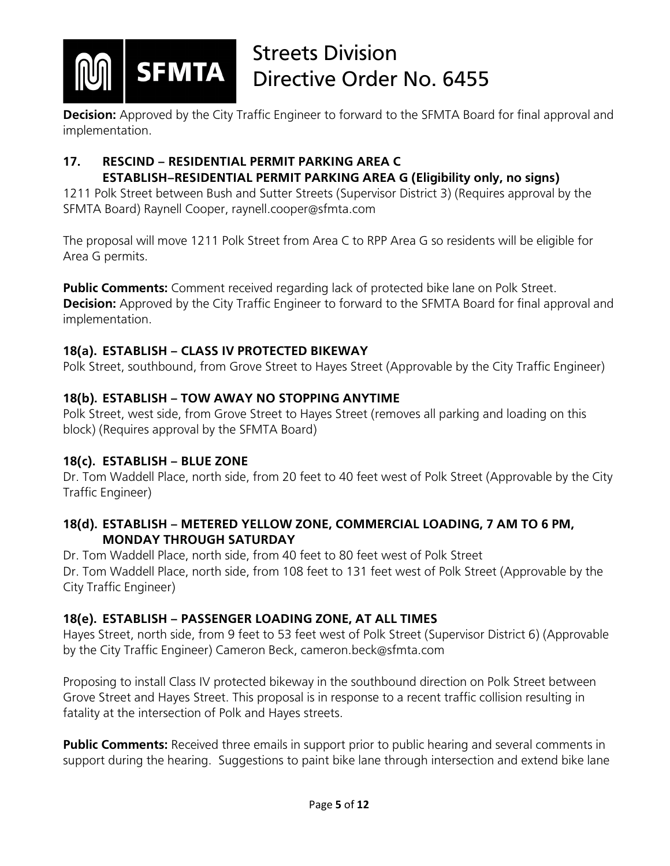

**Decision:** Approved by the City Traffic Engineer to forward to the SFMTA Board for final approval and implementation.

#### **17. RESCIND – RESIDENTIAL PERMIT PARKING AREA C ESTABLISH–RESIDENTIAL PERMIT PARKING AREA G (Eligibility only, no signs)**

1211 Polk Street between Bush and Sutter Streets (Supervisor District 3) (Requires approval by the SFMTA Board) Raynell Cooper, raynell.cooper@sfmta.com

The proposal will move 1211 Polk Street from Area C to RPP Area G so residents will be eligible for Area G permits.

**Public Comments:** Comment received regarding lack of protected bike lane on Polk Street. **Decision:** Approved by the City Traffic Engineer to forward to the SFMTA Board for final approval and implementation.

### **18(a). ESTABLISH – CLASS IV PROTECTED BIKEWAY**

Polk Street, southbound, from Grove Street to Hayes Street (Approvable by the City Traffic Engineer)

### **18(b). ESTABLISH – TOW AWAY NO STOPPING ANYTIME**

Polk Street, west side, from Grove Street to Hayes Street (removes all parking and loading on this block) (Requires approval by the SFMTA Board)

### **18(c). ESTABLISH – BLUE ZONE**

Dr. Tom Waddell Place, north side, from 20 feet to 40 feet west of Polk Street (Approvable by the City Traffic Engineer)

### **18(d). ESTABLISH – METERED YELLOW ZONE, COMMERCIAL LOADING, 7 AM TO 6 PM, MONDAY THROUGH SATURDAY**

Dr. Tom Waddell Place, north side, from 40 feet to 80 feet west of Polk Street Dr. Tom Waddell Place, north side, from 108 feet to 131 feet west of Polk Street (Approvable by the City Traffic Engineer)

### **18(e). ESTABLISH – PASSENGER LOADING ZONE, AT ALL TIMES**

Hayes Street, north side, from 9 feet to 53 feet west of Polk Street (Supervisor District 6) (Approvable by the City Traffic Engineer) Cameron Beck, cameron.beck@sfmta.com

Proposing to install Class IV protected bikeway in the southbound direction on Polk Street between Grove Street and Hayes Street. This proposal is in response to a recent traffic collision resulting in fatality at the intersection of Polk and Hayes streets.

**Public Comments:** Received three emails in support prior to public hearing and several comments in support during the hearing. Suggestions to paint bike lane through intersection and extend bike lane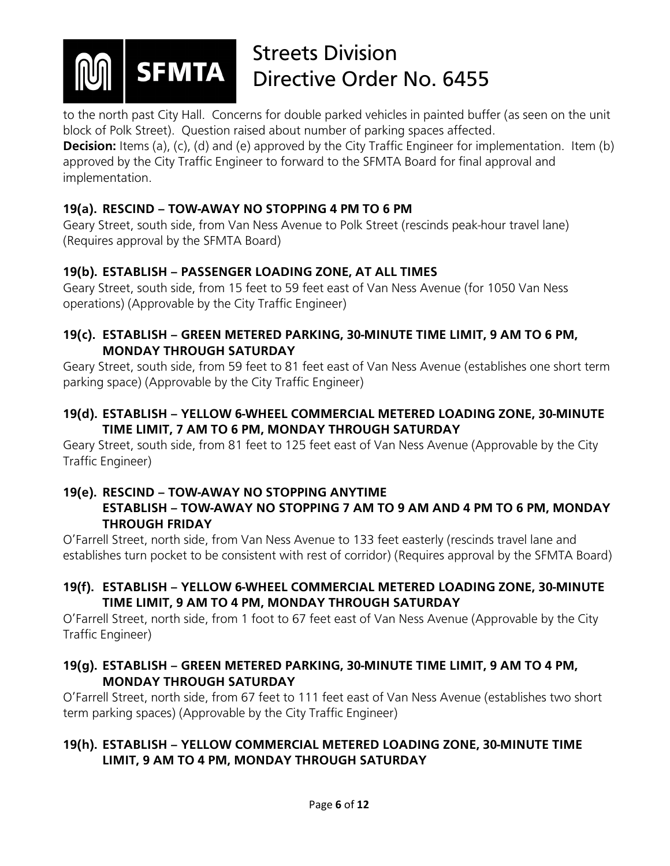

to the north past City Hall. Concerns for double parked vehicles in painted buffer (as seen on the unit block of Polk Street). Question raised about number of parking spaces affected.

**Decision:** Items (a), (c), (d) and (e) approved by the City Traffic Engineer for implementation. Item (b) approved by the City Traffic Engineer to forward to the SFMTA Board for final approval and implementation.

#### **19(a). RESCIND – TOW-AWAY NO STOPPING 4 PM TO 6 PM**

Geary Street, south side, from Van Ness Avenue to Polk Street (rescinds peak-hour travel lane) (Requires approval by the SFMTA Board)

### **19(b). ESTABLISH – PASSENGER LOADING ZONE, AT ALL TIMES**

Geary Street, south side, from 15 feet to 59 feet east of Van Ness Avenue (for 1050 Van Ness operations) (Approvable by the City Traffic Engineer)

#### **19(c). ESTABLISH – GREEN METERED PARKING, 30-MINUTE TIME LIMIT, 9 AM TO 6 PM, MONDAY THROUGH SATURDAY**

Geary Street, south side, from 59 feet to 81 feet east of Van Ness Avenue (establishes one short term parking space) (Approvable by the City Traffic Engineer)

### **19(d). ESTABLISH – YELLOW 6-WHEEL COMMERCIAL METERED LOADING ZONE, 30-MINUTE TIME LIMIT, 7 AM TO 6 PM, MONDAY THROUGH SATURDAY**

Geary Street, south side, from 81 feet to 125 feet east of Van Ness Avenue (Approvable by the City Traffic Engineer)

## **19(e). RESCIND – TOW-AWAY NO STOPPING ANYTIME**

#### **ESTABLISH – TOW-AWAY NO STOPPING 7 AM TO 9 AM AND 4 PM TO 6 PM, MONDAY THROUGH FRIDAY**

O'Farrell Street, north side, from Van Ness Avenue to 133 feet easterly (rescinds travel lane and establishes turn pocket to be consistent with rest of corridor) (Requires approval by the SFMTA Board)

#### **19(f). ESTABLISH – YELLOW 6-WHEEL COMMERCIAL METERED LOADING ZONE, 30-MINUTE TIME LIMIT, 9 AM TO 4 PM, MONDAY THROUGH SATURDAY**

O'Farrell Street, north side, from 1 foot to 67 feet east of Van Ness Avenue (Approvable by the City Traffic Engineer)

### **19(g). ESTABLISH – GREEN METERED PARKING, 30-MINUTE TIME LIMIT, 9 AM TO 4 PM, MONDAY THROUGH SATURDAY**

O'Farrell Street, north side, from 67 feet to 111 feet east of Van Ness Avenue (establishes two short term parking spaces) (Approvable by the City Traffic Engineer)

### **19(h). ESTABLISH – YELLOW COMMERCIAL METERED LOADING ZONE, 30-MINUTE TIME LIMIT, 9 AM TO 4 PM, MONDAY THROUGH SATURDAY**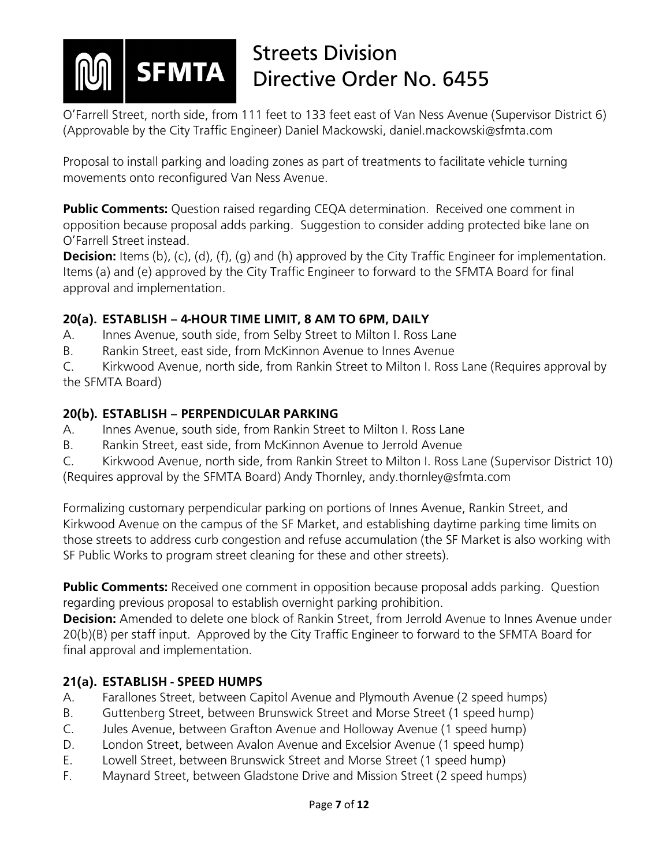

O'Farrell Street, north side, from 111 feet to 133 feet east of Van Ness Avenue (Supervisor District 6) (Approvable by the City Traffic Engineer) Daniel Mackowski, daniel.mackowski@sfmta.com

Proposal to install parking and loading zones as part of treatments to facilitate vehicle turning movements onto reconfigured Van Ness Avenue.

Public Comments: Question raised regarding CEQA determination. Received one comment in opposition because proposal adds parking. Suggestion to consider adding protected bike lane on O'Farrell Street instead.

**Decision:** Items (b), (c), (d), (f), (g) and (h) approved by the City Traffic Engineer for implementation. Items (a) and (e) approved by the City Traffic Engineer to forward to the SFMTA Board for final approval and implementation.

### **20(a). ESTABLISH – 4-HOUR TIME LIMIT, 8 AM TO 6PM, DAILY**

- A. Innes Avenue, south side, from Selby Street to Milton I. Ross Lane
- B. Rankin Street, east side, from McKinnon Avenue to Innes Avenue

C. Kirkwood Avenue, north side, from Rankin Street to Milton I. Ross Lane (Requires approval by the SFMTA Board)

### **20(b). ESTABLISH – PERPENDICULAR PARKING**

- A. Innes Avenue, south side, from Rankin Street to Milton I. Ross Lane
- B. Rankin Street, east side, from McKinnon Avenue to Jerrold Avenue
- C. Kirkwood Avenue, north side, from Rankin Street to Milton I. Ross Lane (Supervisor District 10) (Requires approval by the SFMTA Board) Andy Thornley, andy.thornley@sfmta.com

Formalizing customary perpendicular parking on portions of Innes Avenue, Rankin Street, and Kirkwood Avenue on the campus of the SF Market, and establishing daytime parking time limits on those streets to address curb congestion and refuse accumulation (the SF Market is also working with SF Public Works to program street cleaning for these and other streets).

**Public Comments:** Received one comment in opposition because proposal adds parking. Question regarding previous proposal to establish overnight parking prohibition.

**Decision:** Amended to delete one block of Rankin Street, from Jerrold Avenue to Innes Avenue under 20(b)(B) per staff input. Approved by the City Traffic Engineer to forward to the SFMTA Board for final approval and implementation.

### **21(a). ESTABLISH - SPEED HUMPS**

- A. Farallones Street, between Capitol Avenue and Plymouth Avenue (2 speed humps)
- B. Guttenberg Street, between Brunswick Street and Morse Street (1 speed hump)
- C. Jules Avenue, between Grafton Avenue and Holloway Avenue (1 speed hump)
- D. London Street, between Avalon Avenue and Excelsior Avenue (1 speed hump)
- E. Lowell Street, between Brunswick Street and Morse Street (1 speed hump)
- F. Maynard Street, between Gladstone Drive and Mission Street (2 speed humps)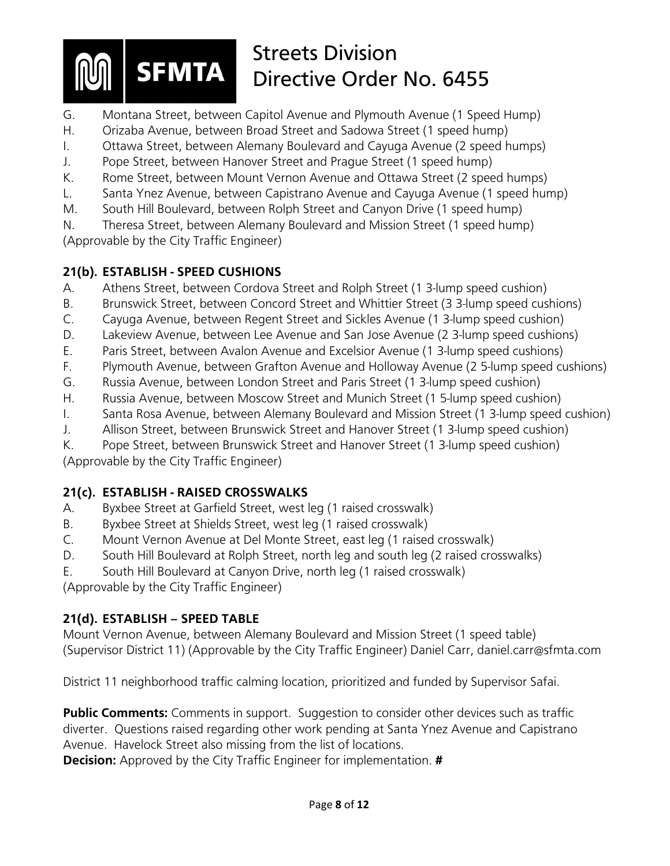- G. Montana Street, between Capitol Avenue and Plymouth Avenue (1 Speed Hump)
- H. Orizaba Avenue, between Broad Street and Sadowa Street (1 speed hump)
- I. Ottawa Street, between Alemany Boulevard and Cayuga Avenue (2 speed humps)
- J. Pope Street, between Hanover Street and Prague Street (1 speed hump)
- K. Rome Street, between Mount Vernon Avenue and Ottawa Street (2 speed humps)
- L. Santa Ynez Avenue, between Capistrano Avenue and Cayuga Avenue (1 speed hump)
- M. South Hill Boulevard, between Rolph Street and Canyon Drive (1 speed hump)

N. Theresa Street, between Alemany Boulevard and Mission Street (1 speed hump) (Approvable by the City Traffic Engineer)

#### **21(b). ESTABLISH - SPEED CUSHIONS**

- A. Athens Street, between Cordova Street and Rolph Street (1 3-lump speed cushion)
- B. Brunswick Street, between Concord Street and Whittier Street (3 3-lump speed cushions)
- C. Cayuga Avenue, between Regent Street and Sickles Avenue (1 3-lump speed cushion)
- D. Lakeview Avenue, between Lee Avenue and San Jose Avenue (2 3-lump speed cushions)
- E. Paris Street, between Avalon Avenue and Excelsior Avenue (1 3-lump speed cushions)
- F. Plymouth Avenue, between Grafton Avenue and Holloway Avenue (2 5-lump speed cushions)
- G. Russia Avenue, between London Street and Paris Street (1 3-lump speed cushion)
- H. Russia Avenue, between Moscow Street and Munich Street (1 5-lump speed cushion)
- I. Santa Rosa Avenue, between Alemany Boulevard and Mission Street (1 3-lump speed cushion)
- J. Allison Street, between Brunswick Street and Hanover Street (1 3-lump speed cushion)
- K. Pope Street, between Brunswick Street and Hanover Street (1 3-lump speed cushion)

(Approvable by the City Traffic Engineer)

### **21(c). ESTABLISH - RAISED CROSSWALKS**

- A. Byxbee Street at Garfield Street, west leg (1 raised crosswalk)
- B. Byxbee Street at Shields Street, west leg (1 raised crosswalk)
- C. Mount Vernon Avenue at Del Monte Street, east leg (1 raised crosswalk)
- D. South Hill Boulevard at Rolph Street, north leg and south leg (2 raised crosswalks)
- E. South Hill Boulevard at Canyon Drive, north leg (1 raised crosswalk)

(Approvable by the City Traffic Engineer)

### **21(d). ESTABLISH – SPEED TABLE**

Mount Vernon Avenue, between Alemany Boulevard and Mission Street (1 speed table) (Supervisor District 11) (Approvable by the City Traffic Engineer) Daniel Carr, daniel.carr@sfmta.com

District 11 neighborhood traffic calming location, prioritized and funded by Supervisor Safai.

**Public Comments:** Comments in support. Suggestion to consider other devices such as traffic diverter. Questions raised regarding other work pending at Santa Ynez Avenue and Capistrano Avenue. Havelock Street also missing from the list of locations.

**Decision:** Approved by the City Traffic Engineer for implementation. **#**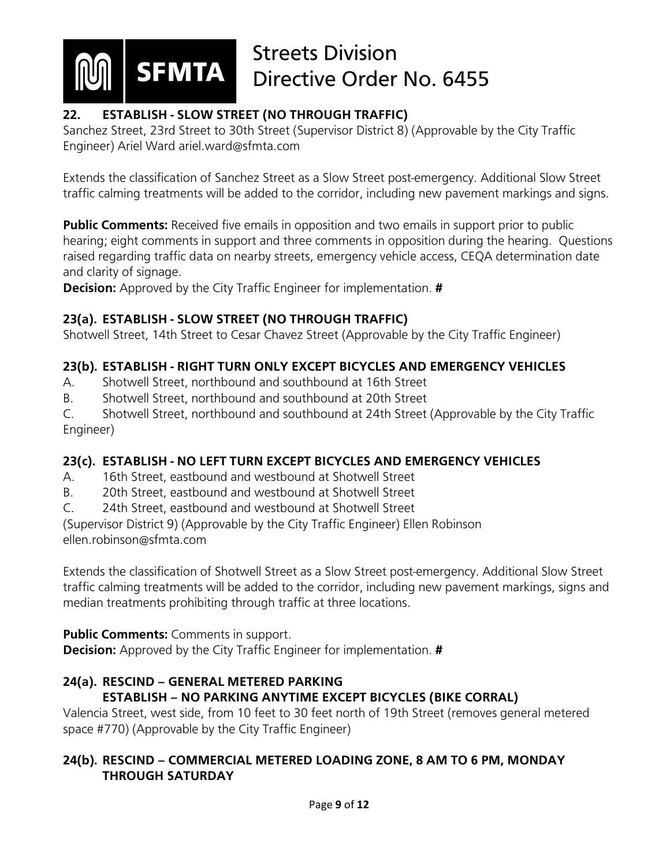

## **22. ESTABLISH - SLOW STREET (NO THROUGH TRAFFIC)**

Sanchez Street, 23rd Street to 30th Street (Supervisor District 8) (Approvable by the City Traffic Engineer) Ariel Ward ariel.ward@sfmta.com

Extends the classification of Sanchez Street as a Slow Street post-emergency. Additional Slow Street traffic calming treatments will be added to the corridor, including new pavement markings and signs.

**Public Comments:** Received five emails in opposition and two emails in support prior to public hearing; eight comments in support and three comments in opposition during the hearing. Questions raised regarding traffic data on nearby streets, emergency vehicle access, CEQA determination date and clarity of signage.

**Decision:** Approved by the City Traffic Engineer for implementation. **#**

### **23(a). ESTABLISH - SLOW STREET (NO THROUGH TRAFFIC)**

Shotwell Street, 14th Street to Cesar Chavez Street (Approvable by the City Traffic Engineer)

### **23(b). ESTABLISH - RIGHT TURN ONLY EXCEPT BICYCLES AND EMERGENCY VEHICLES**

- A. Shotwell Street, northbound and southbound at 16th Street
- B. Shotwell Street, northbound and southbound at 20th Street

C. Shotwell Street, northbound and southbound at 24th Street (Approvable by the City Traffic Engineer)

### **23(c). ESTABLISH - NO LEFT TURN EXCEPT BICYCLES AND EMERGENCY VEHICLES**

- A. 16th Street, eastbound and westbound at Shotwell Street
- B. 20th Street, eastbound and westbound at Shotwell Street
- C. 24th Street, eastbound and westbound at Shotwell Street

(Supervisor District 9) (Approvable by the City Traffic Engineer) Ellen Robinson ellen.robinson@sfmta.com

Extends the classification of Shotwell Street as a Slow Street post-emergency. Additional Slow Street traffic calming treatments will be added to the corridor, including new pavement markings, signs and median treatments prohibiting through traffic at three locations.

**Public Comments:** Comments in support.

**Decision:** Approved by the City Traffic Engineer for implementation. **#**

### **24(a). RESCIND – GENERAL METERED PARKING ESTABLISH – NO PARKING ANYTIME EXCEPT BICYCLES (BIKE CORRAL)**

Valencia Street, west side, from 10 feet to 30 feet north of 19th Street (removes general metered space #770) (Approvable by the City Traffic Engineer)

### **24(b). RESCIND – COMMERCIAL METERED LOADING ZONE, 8 AM TO 6 PM, MONDAY THROUGH SATURDAY**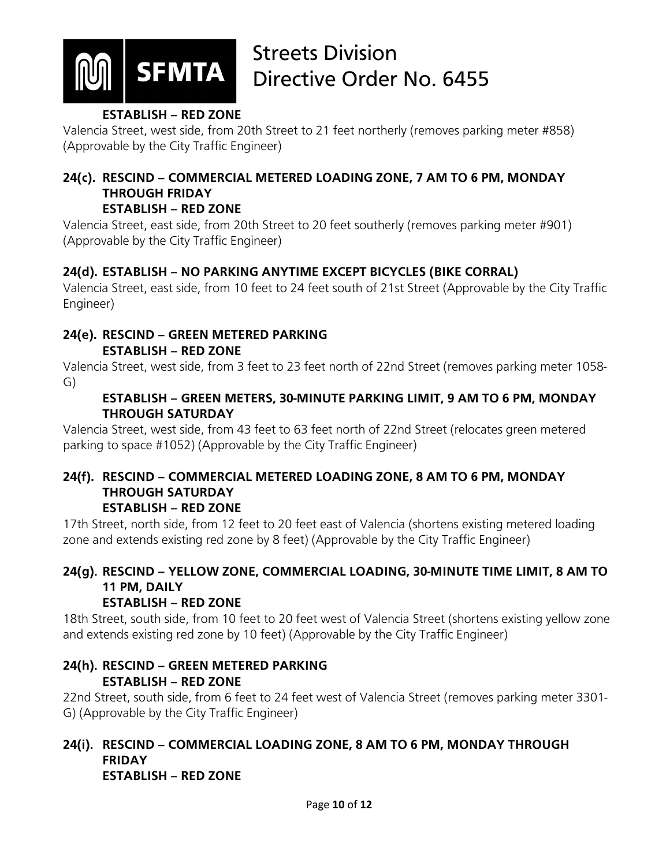

#### **ESTABLISH – RED ZONE**

Valencia Street, west side, from 20th Street to 21 feet northerly (removes parking meter #858) (Approvable by the City Traffic Engineer)

# **24(c). RESCIND – COMMERCIAL METERED LOADING ZONE, 7 AM TO 6 PM, MONDAY THROUGH FRIDAY**

#### **ESTABLISH – RED ZONE**

Valencia Street, east side, from 20th Street to 20 feet southerly (removes parking meter #901) (Approvable by the City Traffic Engineer)

### **24(d). ESTABLISH – NO PARKING ANYTIME EXCEPT BICYCLES (BIKE CORRAL)**

Valencia Street, east side, from 10 feet to 24 feet south of 21st Street (Approvable by the City Traffic Engineer)

#### **24(e). RESCIND – GREEN METERED PARKING ESTABLISH – RED ZONE**

Valencia Street, west side, from 3 feet to 23 feet north of 22nd Street (removes parking meter 1058- G)

#### **ESTABLISH – GREEN METERS, 30-MINUTE PARKING LIMIT, 9 AM TO 6 PM, MONDAY THROUGH SATURDAY**

Valencia Street, west side, from 43 feet to 63 feet north of 22nd Street (relocates green metered parking to space #1052) (Approvable by the City Traffic Engineer)

#### **24(f). RESCIND – COMMERCIAL METERED LOADING ZONE, 8 AM TO 6 PM, MONDAY THROUGH SATURDAY ESTABLISH – RED ZONE**

17th Street, north side, from 12 feet to 20 feet east of Valencia (shortens existing metered loading zone and extends existing red zone by 8 feet) (Approvable by the City Traffic Engineer)

## **24(g). RESCIND – YELLOW ZONE, COMMERCIAL LOADING, 30-MINUTE TIME LIMIT, 8 AM TO 11 PM, DAILY**

### **ESTABLISH – RED ZONE**

18th Street, south side, from 10 feet to 20 feet west of Valencia Street (shortens existing yellow zone and extends existing red zone by 10 feet) (Approvable by the City Traffic Engineer)

### **24(h). RESCIND – GREEN METERED PARKING ESTABLISH – RED ZONE**

22nd Street, south side, from 6 feet to 24 feet west of Valencia Street (removes parking meter 3301- G) (Approvable by the City Traffic Engineer)

#### **24(i). RESCIND – COMMERCIAL LOADING ZONE, 8 AM TO 6 PM, MONDAY THROUGH FRIDAY ESTABLISH – RED ZONE**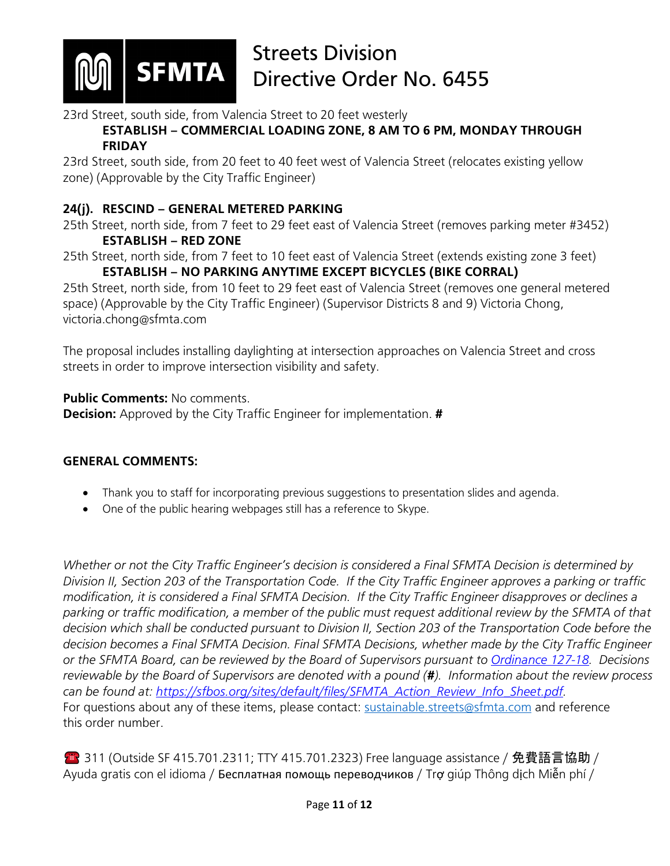

23rd Street, south side, from Valencia Street to 20 feet westerly

**ESTABLISH – COMMERCIAL LOADING ZONE, 8 AM TO 6 PM, MONDAY THROUGH FRIDAY**

23rd Street, south side, from 20 feet to 40 feet west of Valencia Street (relocates existing yellow zone) (Approvable by the City Traffic Engineer)

#### **24(j). RESCIND – GENERAL METERED PARKING**

25th Street, north side, from 7 feet to 29 feet east of Valencia Street (removes parking meter #3452) **ESTABLISH – RED ZONE**

25th Street, north side, from 7 feet to 10 feet east of Valencia Street (extends existing zone 3 feet) **ESTABLISH – NO PARKING ANYTIME EXCEPT BICYCLES (BIKE CORRAL)**

25th Street, north side, from 10 feet to 29 feet east of Valencia Street (removes one general metered space) (Approvable by the City Traffic Engineer) (Supervisor Districts 8 and 9) Victoria Chong, victoria.chong@sfmta.com

The proposal includes installing daylighting at intersection approaches on Valencia Street and cross streets in order to improve intersection visibility and safety.

**Public Comments: No comments. Decision:** Approved by the City Traffic Engineer for implementation. **#**

#### **GENERAL COMMENTS:**

- Thank you to staff for incorporating previous suggestions to presentation slides and agenda.
- One of the public hearing webpages still has a reference to Skype.

*Whether or not the City Traffic Engineer's decision is considered a Final SFMTA Decision is determined by Division II, Section 203 of the Transportation Code. If the City Traffic Engineer approves a parking or traffic modification, it is considered a Final SFMTA Decision. If the City Traffic Engineer disapproves or declines a parking or traffic modification, a member of the public must request additional review by the SFMTA of that decision which shall be conducted pursuant to Division II, Section 203 of the Transportation Code before the decision becomes a Final SFMTA Decision. Final SFMTA Decisions, whether made by the City Traffic Engineer or the SFMTA Board, can be reviewed by the Board of Supervisors pursuant to [Ordinance 127-18.](https://sfbos.org/sites/default/files/o0127-18.pdf) Decisions reviewable by the Board of Supervisors are denoted with a pound (#). Information about the review process can be found at: [https://sfbos.org/sites/default/files/SFMTA\\_Action\\_Review\\_Info\\_Sheet.pdf.](https://sfbos.org/sites/default/files/SFMTA_Action_Review_Info_Sheet.pdf)*  For questions about any of these items, please contact: [sustainable.streets@sfmta.com](mailto:sustainable.streets@sfmta.com) and reference this order number.

**● 311 (Outside SF 415.701.2311; TTY 415.701.2323) Free language assistance / 免費語言協助 /** Ayuda gratis con el idioma / Бесплатная помощь переводчиков / Trợ giúp Thông dịch Miễn phí /